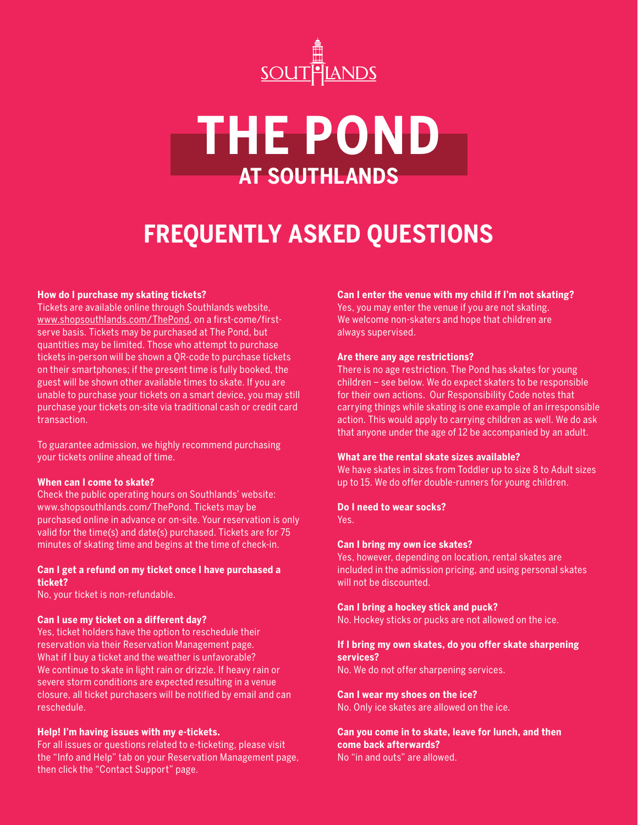

# **THE POND AT SOUTHLANDS**

# **FREQUENTLY ASKED QUESTIONS**

#### **How do I purchase my skating tickets?**

Tickets are available online through Southlands website, [www.shopsouthlands.com/ThePond,](www.shopsouthlands.com/ThePond) on a first-come/firstserve basis. Tickets may be purchased at The Pond, but quantities may be limited. Those who attempt to purchase tickets in-person will be shown a QR-code to purchase tickets on their smartphones; if the present time is fully booked, the guest will be shown other available times to skate. If you are unable to purchase your tickets on a smart device, you may still purchase your tickets on-site via traditional cash or credit card transaction.

To guarantee admission, we highly recommend purchasing your tickets online ahead of time.

#### **When can I come to skate?**

Check the public operating hours on Southlands' website: www.shopsouthlands.com/ThePond. Tickets may be purchased online in advance or on-site. Your reservation is only valid for the time(s) and date(s) purchased. Tickets are for 75 minutes of skating time and begins at the time of check-in.

#### **Can I get a refund on my ticket once I have purchased a ticket?**

No, your ticket is non-refundable.

#### **Can I use my ticket on a different day?**

Yes, ticket holders have the option to reschedule their reservation via their Reservation Management page. What if I buy a ticket and the weather is unfavorable? We continue to skate in light rain or drizzle. If heavy rain or severe storm conditions are expected resulting in a venue closure, all ticket purchasers will be notified by email and can reschedule.

#### **Help! I'm having issues with my e-tickets.**

For all issues or questions related to e-ticketing, please visit the "Info and Help" tab on your Reservation Management page, then click the "Contact Support" page.

#### **Can I enter the venue with my child if I'm not skating?**

Yes, you may enter the venue if you are not skating. We welcome non-skaters and hope that children are always supervised.

#### **Are there any age restrictions?**

There is no age restriction. The Pond has skates for young children – see below. We do expect skaters to be responsible for their own actions. Our Responsibility Code notes that carrying things while skating is one example of an irresponsible action. This would apply to carrying children as well. We do ask that anyone under the age of 12 be accompanied by an adult.

#### **What are the rental skate sizes available?**

We have skates in sizes from Toddler up to size 8 to Adult sizes up to 15. We do offer double-runners for young children.

#### **Do I need to wear socks?**

Yes.

#### **Can I bring my own ice skates?**

Yes, however, depending on location, rental skates are included in the admission pricing, and using personal skates will not be discounted.

#### **Can I bring a hockey stick and puck?**

No. Hockey sticks or pucks are not allowed on the ice.

#### **If I bring my own skates, do you offer skate sharpening services?**

No. We do not offer sharpening services.

#### **Can I wear my shoes on the ice?**

No. Only ice skates are allowed on the ice.

### **Can you come in to skate, leave for lunch, and then come back afterwards?**

No "in and outs" are allowed.